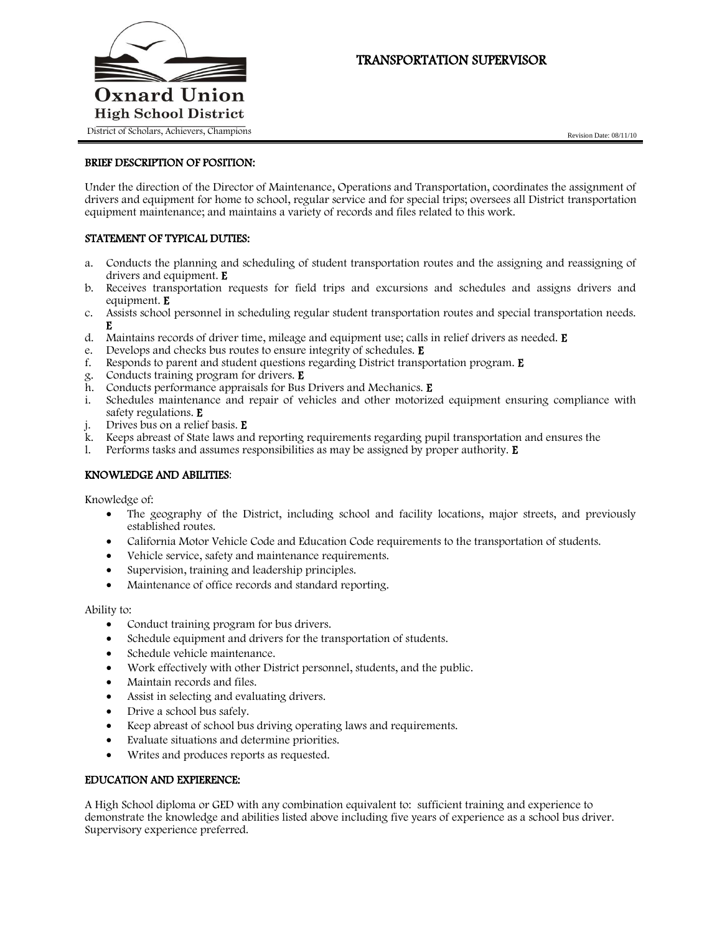

# TRANSPORTATION SUPERVISOR

# BRIEF DESCRIPTION OF POSITION:

Under the direction of the Director of Maintenance, Operations and Transportation, coordinates the assignment of drivers and equipment for home to school, regular service and for special trips; oversees all District transportation equipment maintenance; and maintains a variety of records and files related to this work.

### STATEMENT OF TYPICAL DUTIES:

- a. Conducts the planning and scheduling of student transportation routes and the assigning and reassigning of drivers and equipment. E
- b. Receives transportation requests for field trips and excursions and schedules and assigns drivers and equipment. E
- c. Assists school personnel in scheduling regular student transportation routes and special transportation needs. E
- d. Maintains records of driver time, mileage and equipment use; calls in relief drivers as needed. E
- e. Develops and checks bus routes to ensure integrity of schedules. E
- f. Responds to parent and student questions regarding District transportation program. E
- g. Conducts training program for drivers. E
- h. Conducts performance appraisals for Bus Drivers and Mechanics. E
- i. Schedules maintenance and repair of vehicles and other motorized equipment ensuring compliance with safety regulations. E
- Drives bus on a relief basis. **E**
- k. Keeps abreast of State laws and reporting requirements regarding pupil transportation and ensures the
- 1. Performs tasks and assumes responsibilities as may be assigned by proper authority.  $E$

# KNOWLEDGE AND ABILITIES:

Knowledge of:

- The geography of the District, including school and facility locations, major streets, and previously established routes.
- California Motor Vehicle Code and Education Code requirements to the transportation of students.
- Vehicle service, safety and maintenance requirements.
- Supervision, training and leadership principles.
- Maintenance of office records and standard reporting.

Ability to:

- Conduct training program for bus drivers.
- Schedule equipment and drivers for the transportation of students.
- Schedule vehicle maintenance.
- Work effectively with other District personnel, students, and the public.
- Maintain records and files.
- Assist in selecting and evaluating drivers.
- Drive a school bus safely.
- Keep abreast of school bus driving operating laws and requirements.
- Evaluate situations and determine priorities.
- Writes and produces reports as requested.

#### EDUCATION AND EXPIERENCE:

A High School diploma or GED with any combination equivalent to: sufficient training and experience to demonstrate the knowledge and abilities listed above including five years of experience as a school bus driver. Supervisory experience preferred.